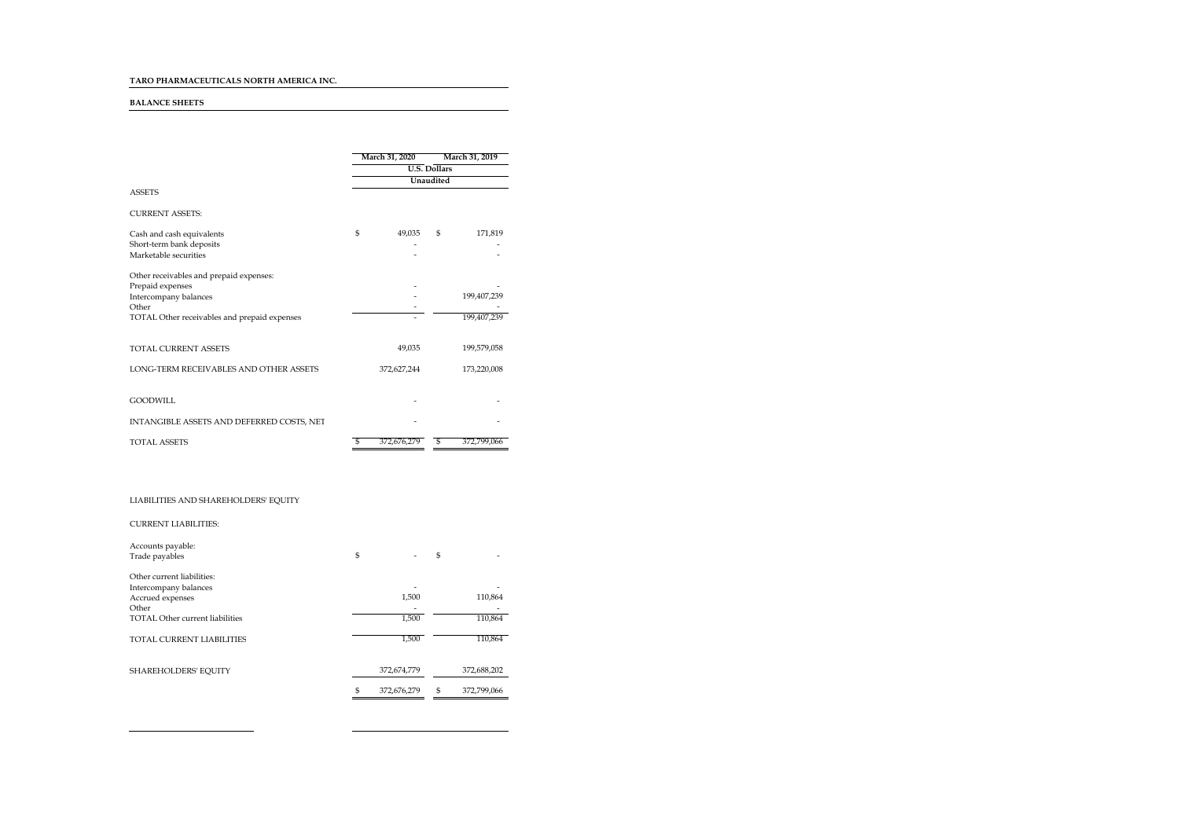# TARO PHARMACEUTICALS NORTH AMERICA INC.

#### BALANCE SHEETS

|                                              |                                         | March 31, 2020 | March 31, 2019 |             |  |  |
|----------------------------------------------|-----------------------------------------|----------------|----------------|-------------|--|--|
|                                              | <b>U.S. Dollars</b><br><b>Unaudited</b> |                |                |             |  |  |
|                                              |                                         |                |                |             |  |  |
| <b>ASSETS</b>                                |                                         |                |                |             |  |  |
| <b>CURRENT ASSETS:</b>                       |                                         |                |                |             |  |  |
| Cash and cash equivalents                    | \$                                      | 49.035         | S              | 171,819     |  |  |
| Short-term bank deposits                     |                                         |                |                |             |  |  |
| Marketable securities                        |                                         |                |                |             |  |  |
| Other receivables and prepaid expenses:      |                                         |                |                |             |  |  |
| Prepaid expenses                             |                                         |                |                |             |  |  |
| Intercompany balances                        |                                         |                |                | 199,407,239 |  |  |
| Other                                        |                                         |                |                |             |  |  |
| TOTAL Other receivables and prepaid expenses |                                         |                |                | 199.407.239 |  |  |
| <b>TOTAL CURRENT ASSETS</b>                  |                                         | 49.035         |                | 199,579,058 |  |  |
| LONG-TERM RECEIVABLES AND OTHER ASSETS       |                                         | 372,627,244    |                | 173,220,008 |  |  |
| <b>GOODWILL</b>                              |                                         |                |                |             |  |  |
| INTANGIBLE ASSETS AND DEFERRED COSTS, NET    |                                         |                |                |             |  |  |
| <b>TOTAL ASSETS</b>                          | £,                                      | 372.676.279    | S              | 372,799,066 |  |  |

# LIABILITIES AND SHAREHOLDERS' EQUITY

 $\overline{\phantom{0}}$ 

| <b>CURRENT LIABILITIES:</b> |
|-----------------------------|
|-----------------------------|

| Accounts payable:                      |                   |    |             |
|----------------------------------------|-------------------|----|-------------|
| Trade payables                         | \$                | S  |             |
| Other current liabilities:             |                   |    |             |
| Intercompany balances                  |                   |    |             |
| Accrued expenses                       | 1,500             |    | 110,864     |
| Other                                  |                   |    |             |
| <b>TOTAL Other current liabilities</b> | 1,500             |    | 110,864     |
| TOTAL CURRENT LIABILITIES              | 1,500             |    | 110,864     |
| SHAREHOLDERS' EQUITY                   | 372,674,779       |    | 372,688,202 |
|                                        | \$<br>372.676.279 | £. | 372.799.066 |
|                                        |                   |    |             |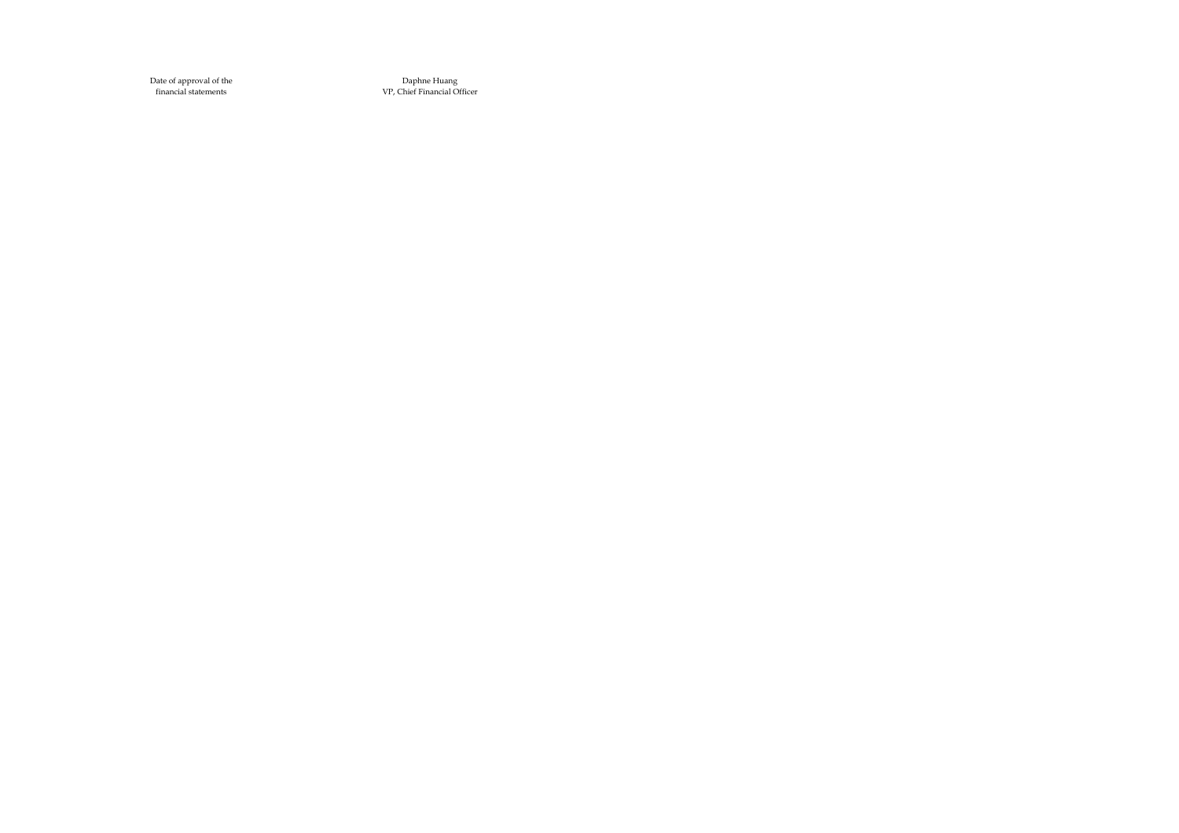Date of approval of thefinancial statements

Daphne HuangVP, Chief Financial Officer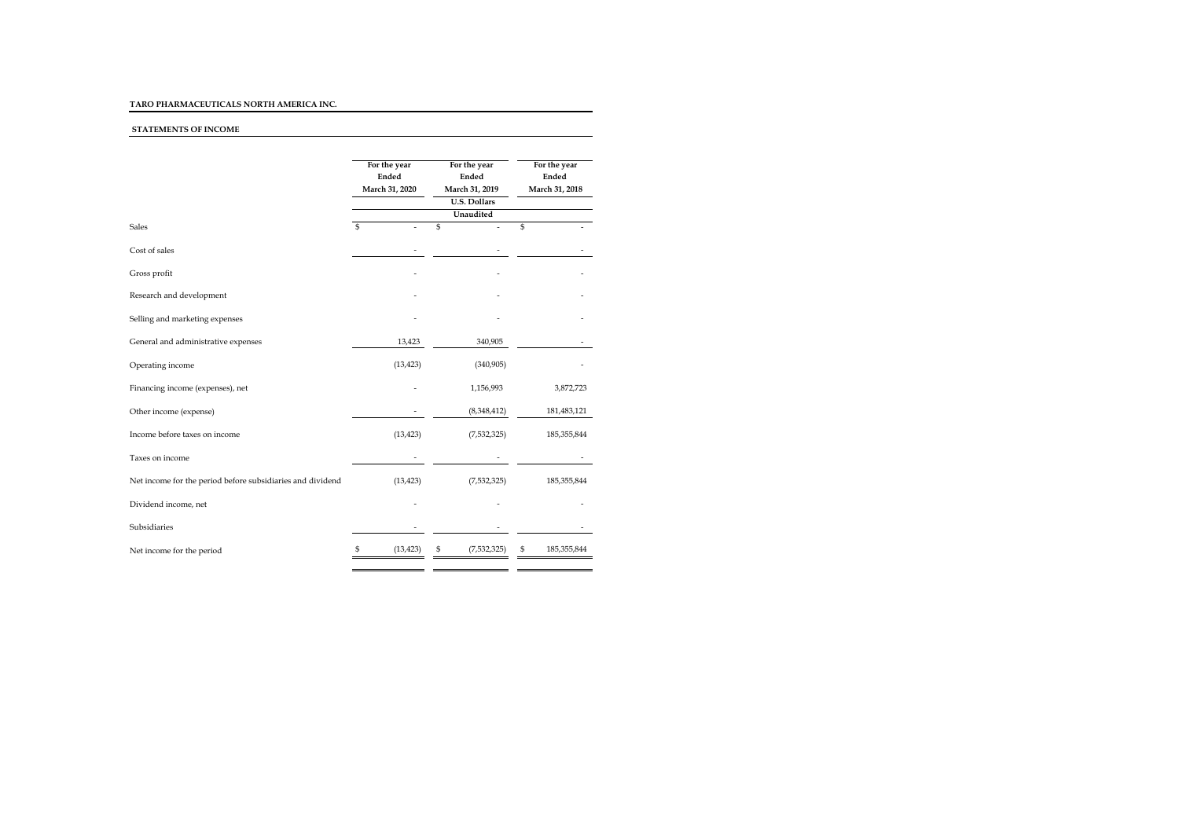# TARO PHARMACEUTICALS NORTH AMERICA INC.

# STATEMENTS OF INCOME

|                                                            | For the year<br>Ended<br>March 31, 2020 | For the year<br>Ended<br>March 31, 2019<br><b>U.S. Dollars</b> | For the year<br>Ended<br>March 31, 2018 |  |
|------------------------------------------------------------|-----------------------------------------|----------------------------------------------------------------|-----------------------------------------|--|
|                                                            | \$                                      | Unaudited                                                      |                                         |  |
| Sales                                                      |                                         | \$                                                             | \$                                      |  |
| Cost of sales                                              |                                         |                                                                |                                         |  |
| Gross profit                                               |                                         |                                                                |                                         |  |
| Research and development                                   |                                         |                                                                |                                         |  |
| Selling and marketing expenses                             |                                         |                                                                |                                         |  |
| General and administrative expenses                        | 13,423                                  | 340,905                                                        |                                         |  |
| Operating income                                           | (13, 423)                               | (340,905)                                                      |                                         |  |
| Financing income (expenses), net                           |                                         | 1,156,993                                                      | 3,872,723                               |  |
| Other income (expense)                                     |                                         | (8,348,412)                                                    | 181,483,121                             |  |
| Income before taxes on income                              | (13, 423)                               | (7,532,325)                                                    | 185, 355, 844                           |  |
| Taxes on income                                            |                                         |                                                                |                                         |  |
| Net income for the period before subsidiaries and dividend | (13, 423)                               | (7,532,325)                                                    | 185, 355, 844                           |  |
| Dividend income, net                                       |                                         |                                                                |                                         |  |
| Subsidiaries                                               |                                         |                                                                |                                         |  |
| Net income for the period                                  | (13, 423)                               | (7,532,325)<br>S                                               | S<br>185,355,844                        |  |
|                                                            |                                         |                                                                |                                         |  |